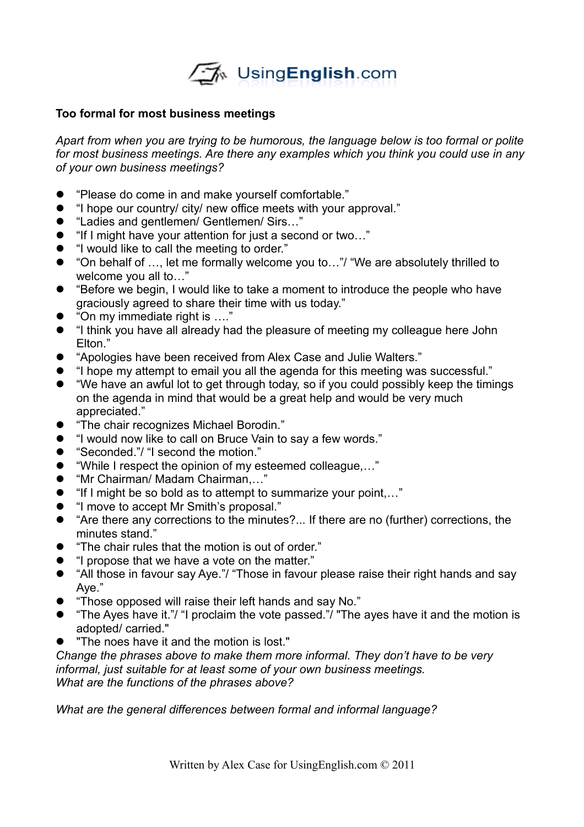

## **Too formal for most business meetings**

*Apart from when you are trying to be humorous, the language below is too formal or polite for most business meetings. Are there any examples which you think you could use in any of your own business meetings?*

- "Please do come in and make yourself comfortable."<br>• I hope our country/ city/ new office meets with your a
- "I hope our country/ city/ new office meets with your approval."
- "Ladies and gentlemen/ Gentlemen/ Sirs..."
- "If I might have your attention for just a second or two..."
- "I would like to call the meeting to order."
- "On behalf of …, let me formally welcome you to…"/ "We are absolutely thrilled to welcome you all to…"
- "Before we begin, I would like to take a moment to introduce the people who have graciously agreed to share their time with us today."
- "On my immediate right is …."
- "I think you have all already had the pleasure of meeting my colleague here John Elton."
- "Apologies have been received from Alex Case and Julie Walters."
- "I hope my attempt to email you all the agenda for this meeting was successful."
- "We have an awful lot to get through today, so if you could possibly keep the timings on the agenda in mind that would be a great help and would be very much appreciated."
- "The chair recognizes Michael Borodin."
- "I would now like to call on Bruce Vain to say a few words."<br>● "Seconded."/ "I second the motion."
- "Seconded."/ "I second the motion."
- "While I respect the opinion of my esteemed colleague,..."<br>● "Mr Chairman/ Madam Chairman"
- "Mr Chairman/ Madam Chairman,…"
- "If I might be so bold as to attempt to summarize your point,…"
- "I move to accept Mr Smith's proposal."
- "Are there any corrections to the minutes?... If there are no (further) corrections, the minutes stand."
- "The chair rules that the motion is out of order."
- "I propose that we have a vote on the matter."
- "All those in favour say Aye."/ "Those in favour please raise their right hands and say Aye."
- "Those opposed will raise their left hands and say No."
- "The Ayes have it."/ "I proclaim the vote passed."/ "The ayes have it and the motion is adopted/ carried."
- "The noes have it and the motion is lost."

*Change the phrases above to make them more informal. They don't have to be very informal, just suitable for at least some of your own business meetings. What are the functions of the phrases above?*

*What are the general differences between formal and informal language?*